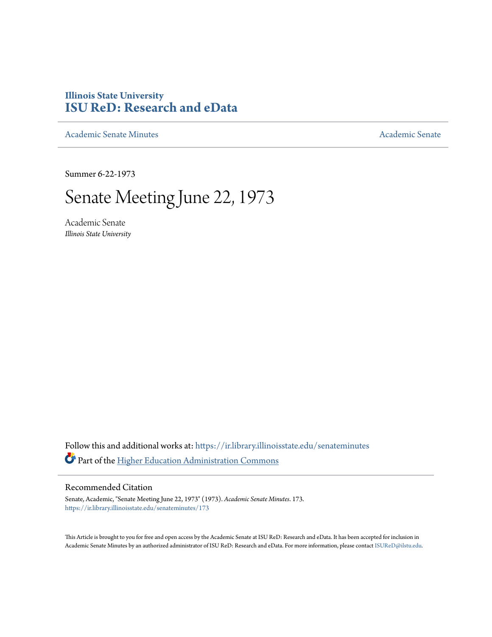## **Illinois State University [ISU ReD: Research and eData](https://ir.library.illinoisstate.edu?utm_source=ir.library.illinoisstate.edu%2Fsenateminutes%2F173&utm_medium=PDF&utm_campaign=PDFCoverPages)**

[Academic Senate Minutes](https://ir.library.illinoisstate.edu/senateminutes?utm_source=ir.library.illinoisstate.edu%2Fsenateminutes%2F173&utm_medium=PDF&utm_campaign=PDFCoverPages) [Academic Senate](https://ir.library.illinoisstate.edu/senate?utm_source=ir.library.illinoisstate.edu%2Fsenateminutes%2F173&utm_medium=PDF&utm_campaign=PDFCoverPages) Academic Senate

Summer 6-22-1973

## Senate Meeting June 22, 1973

Academic Senate *Illinois State University*

Follow this and additional works at: [https://ir.library.illinoisstate.edu/senateminutes](https://ir.library.illinoisstate.edu/senateminutes?utm_source=ir.library.illinoisstate.edu%2Fsenateminutes%2F173&utm_medium=PDF&utm_campaign=PDFCoverPages) Part of the [Higher Education Administration Commons](http://network.bepress.com/hgg/discipline/791?utm_source=ir.library.illinoisstate.edu%2Fsenateminutes%2F173&utm_medium=PDF&utm_campaign=PDFCoverPages)

## Recommended Citation

Senate, Academic, "Senate Meeting June 22, 1973" (1973). *Academic Senate Minutes*. 173. [https://ir.library.illinoisstate.edu/senateminutes/173](https://ir.library.illinoisstate.edu/senateminutes/173?utm_source=ir.library.illinoisstate.edu%2Fsenateminutes%2F173&utm_medium=PDF&utm_campaign=PDFCoverPages)

This Article is brought to you for free and open access by the Academic Senate at ISU ReD: Research and eData. It has been accepted for inclusion in Academic Senate Minutes by an authorized administrator of ISU ReD: Research and eData. For more information, please contact [ISUReD@ilstu.edu.](mailto:ISUReD@ilstu.edu)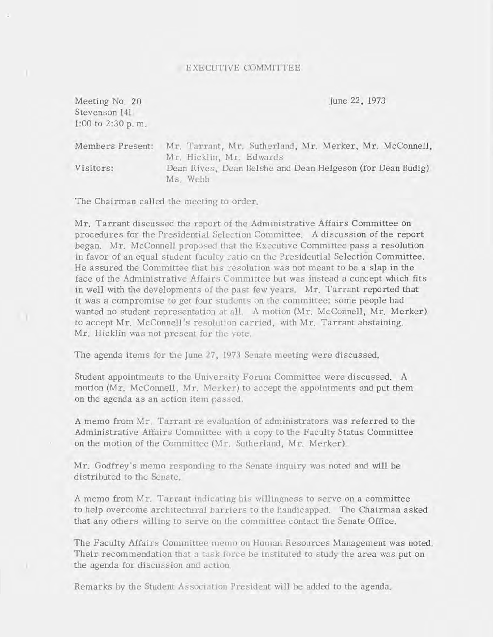## EXECUTIVE COMMITTEE

Meeting No. 20 June 22, 1973 Stevenson 141 1:00 to 2:30 p. m.

Members Present: Mr. Tarrant, Mr. Sutherland, Mr. Merker, Mr. McConnell, Mr. Hicklin, Mr. Edwards Visitors: Dean Rives, Dean Belshe and Dean Helgeson (for Dean Budig) Ms. Webb

The Chairman called the meeting to order.

Mr. Tarrant discussed the report of the Administrative Affairs Committee on procedures for the Presidential Selection Committee. A discussion of the report began. Mr. McConnell proposed that the Executive Committee pass a resolution in favor of an equal student faculty ratio on the Presidential Selection Committee. He assured the Committee that his resolution was not meant to be a slap in the face of the Administrative Affairs Committee but was instead a concept which fits in well with the developments of the past few years. Mr. Tarrant reported that it was a compromise to get four students on the committee; some people had wanted no student representation at all. A motion (Mr. McConnell, Mr. Merker) to accept Mr. McConnell's resolution carried, with Mr. Tarrant abstaining. Mr. Hicklin was not present for the vote.

The agenda items for the June 27, 1973 Senate meeting were discussed.

Student appointments to the University Forum Committee were discussed. A motion (Mr. McConnell, Mr. Merker) to accept the appointments and put them on the agenda as an action item passed.

A memo from Mr. Tarrant re evaluation of administrators was referred to the Administrative Mfairs Committee with a copy to the Faculty Status Committee on the motion of the Committee (Mr. Sutherland, Mr. Merker).

Mr. Godfrey's memo responding to the Senate inquiry was noted and will be distributed to the Senate.

A memo from Mr. Tarrant indicating his willingness to serve on a committee to help overcome architectural barriers to the handicapped. The Chairman asked that any others willing to serve on the committee contact the Senate Office.

The Faculty Affairs Committee memo on Human Resources Management was noted. Their recommendation that a task force be instituted to study the area was put on the agenda for discussion and action.

Remarks by the Student Association President will be added to the agenda.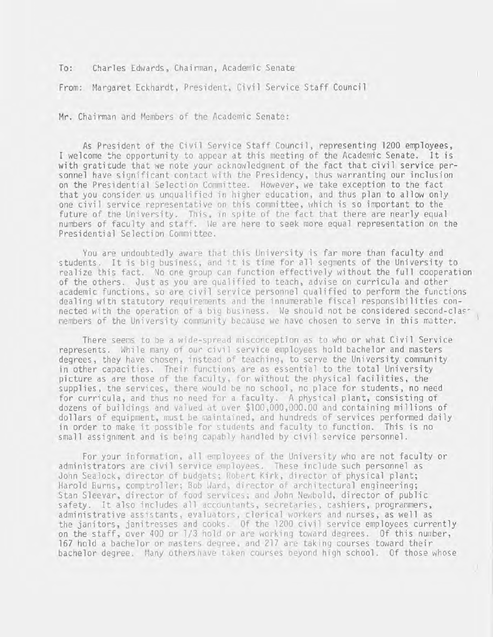To: Charles Edwards, Chairman, Academic Senate

From: Margaret Eckhardt, President, Civil Service Staff Council

Mr. Chairman and Members of the Academic Senate:

As President of the Civil Service Staff Council, representing 1200 employees, I welcome the opportunity to appear at this meeting of the Academic Senate. It is with gratitude that we note your acknowledgment of the fact that civil service personnel have significant contact with the Presidency, thus warranting our inclusion on the Presidential Selection Committee. However, we take exception to the fact that you consider us unqualified in higher education, and thus plan to allow only one civil service representative on this committee, which is so important to the future of the University. This, in spite of the fact that there are nearly equal numbers of faculty and staff. We are here to seek more equal representation on the Presidential Selection Committee.

You are undoubtedly aware that this University is far more than faculty and students. It is big business, and it is time for all segments of the University to realize this fact. No one group can function effectively without the full cooperation of the others. Just as you are qualified to teach, advise on curricula and other academic functions, so are civil service personnel qualified to perform the functions dealing with statutory requirements and the innumerable fiscal responsibilities connected with the operation of a big business. We should not be considered second-clasmembers of the University community because we have chosen to serve in this matter.

There seems to be a wide-spread misconception as to who or what Civil Service represents. While many of our civil service employees hold bachelor and masters degrees, they have chosen, instead of teaching, to serve the University community in other capacities. Their functions are as essential to the total University picture as are those of the faculty, for without the physical facilities, the supplies, the services, there would be no school, no place for students, no need for curricula, and thus no need for a faculty. A physical plant, consisting of dozens of buildings and valued at over \$100~000~000.00 and containing millions of dollars of equipment, must be maintained, and hundreds of services performed daily in order to make it possible for students and faculty to function. This is no small assignment and is being capably handled by civil service personnel.

For your information, all employees of the University who are not faculty or administrators are civil service employees. These include such personnel as John Sealock, director of budgets; Robert Kirk, director of physical plant; Harold Burns, comptroller; Bob Ward, director of architectural engineering; Stan Sleevar, director of food services; and John Newbold, director of public safety. It also includes all accountants, secretaries, cashiers, programmers, administrative assistants, evaluators, clerical workers and nurses, as well as the janitors, janitresses and cooks. Of the 1200 civil service employees currently on the staff, over 400 or *lj3* hold or are working toward degrees. Of this number, 167 hold a bachelor or masters degree, and 217 are taking courses toward their bachelor degree. Many othershave taken courses beyond high school. Of those whose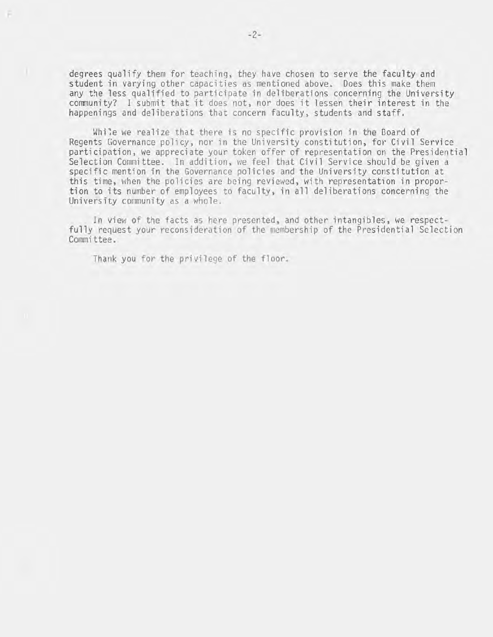degrees qualify them for teaching, they have chosen to serve the faculty and student in varying other capacities as mentioned above. Does this make them any the less qualified to participate in deliberations concerning the University community? I submit that it does not, nor does it lessen their interest in the happenings and deliberations that concern faculty, students and staff.

> Whi1e we realize that there is no specific provision in the Board of Regents Governance policy, nor in the University constitution, for Civil Service participation, we appreciate your token offer of representation on the Presidential Selection Committee. In addition, we feel that Civil Service should be given a specific mention in the Governance policies and the University constitution at this time, when the policies are being reviewed, with representation in proportion to its number of employees to faculty, in all deliberations concerning the University community as a whole.

In view of the facts as here presented, and other intangibles, we respectfully request your reconsideration of the membership of the Presidential Selection Committee.

Thank you for the privilege of the floor.